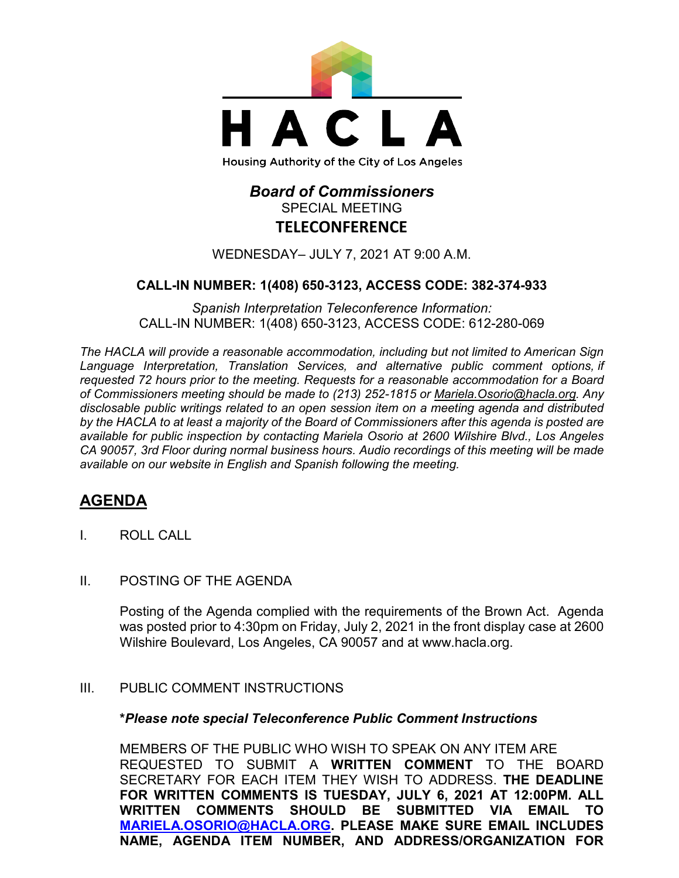

# *Board of Commissioners* SPECIAL MEETING **TELECONFERENCE**

WEDNESDAY– JULY 7, 2021 AT 9:00 A.M.

### **CALL-IN NUMBER: 1(408) 650-3123, ACCESS CODE: 382-374-933**

*Spanish Interpretation Teleconference Information:* CALL-IN NUMBER: 1(408) 650-3123, ACCESS CODE: 612-280-069

*The HACLA will provide a reasonable accommodation, including but not limited to American Sign Language Interpretation, Translation Services, and alternative public comment options, if requested 72 hours prior to the meeting. Requests for a reasonable accommodation for a Board of Commissioners meeting should be made to (213) 252-1815 or Mariela.Osorio@hacla.org. Any disclosable public writings related to an open session item on a meeting agenda and distributed by the HACLA to at least a majority of the Board of Commissioners after this agenda is posted are available for public inspection by contacting Mariela Osorio at 2600 Wilshire Blvd., Los Angeles CA 90057, 3rd Floor during normal business hours. Audio recordings of this meeting will be made available on our website in English and Spanish following the meeting.*

# **AGENDA**

- I. ROLL CALL
- II. POSTING OF THE AGENDA

Posting of the Agenda complied with the requirements of the Brown Act. Agenda was posted prior to 4:30pm on Friday, July 2, 2021 in the front display case at 2600 Wilshire Boulevard, Los Angeles, CA 90057 and at [www.hacla.org.](http://www.hacla.org/)

### III. PUBLIC COMMENT INSTRUCTIONS

#### **\****Please note special Teleconference Public Comment Instructions*

MEMBERS OF THE PUBLIC WHO WISH TO SPEAK ON ANY ITEM ARE REQUESTED TO SUBMIT A **WRITTEN COMMENT** TO THE BOARD SECRETARY FOR EACH ITEM THEY WISH TO ADDRESS. **THE DEADLINE FOR WRITTEN COMMENTS IS TUESDAY, JULY 6, 2021 AT 12:00PM. ALL WRITTEN COMMENTS SHOULD BE SUBMITTED VIA EMAIL TO [MARIELA.OSORIO@HACLA.ORG.](mailto:MARIELA.OSORIO@HACLA.ORG) PLEASE MAKE SURE EMAIL INCLUDES NAME, AGENDA ITEM NUMBER, AND ADDRESS/ORGANIZATION FOR**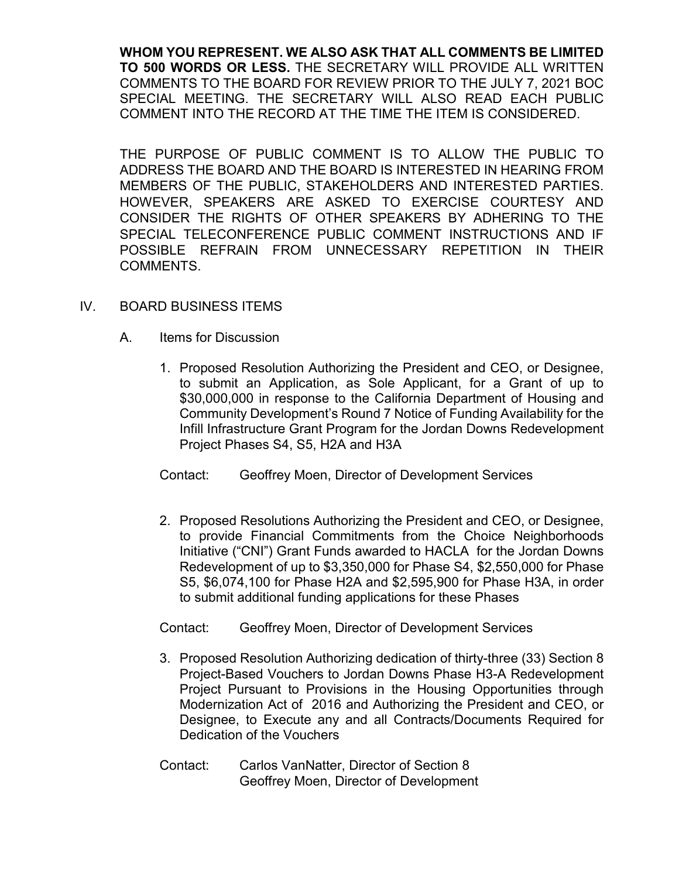**WHOM YOU REPRESENT. WE ALSO ASK THAT ALL COMMENTS BE LIMITED TO 500 WORDS OR LESS.** THE SECRETARY WILL PROVIDE ALL WRITTEN COMMENTS TO THE BOARD FOR REVIEW PRIOR TO THE JULY 7, 2021 BOC SPECIAL MEETING. THE SECRETARY WILL ALSO READ EACH PUBLIC COMMENT INTO THE RECORD AT THE TIME THE ITEM IS CONSIDERED.

THE PURPOSE OF PUBLIC COMMENT IS TO ALLOW THE PUBLIC TO ADDRESS THE BOARD AND THE BOARD IS INTERESTED IN HEARING FROM MEMBERS OF THE PUBLIC, STAKEHOLDERS AND INTERESTED PARTIES. HOWEVER, SPEAKERS ARE ASKED TO EXERCISE COURTESY AND CONSIDER THE RIGHTS OF OTHER SPEAKERS BY ADHERING TO THE SPECIAL TELECONFERENCE PUBLIC COMMENT INSTRUCTIONS AND IF POSSIBLE REFRAIN FROM UNNECESSARY REPETITION IN THEIR COMMENTS.

### IV. BOARD BUSINESS ITEMS

- A. Items for Discussion
	- 1. Proposed Resolution Authorizing the President and CEO, or Designee, to submit an Application, as Sole Applicant, for a Grant of up to \$30,000,000 in response to the California Department of Housing and Community Development's Round 7 Notice of Funding Availability for the Infill Infrastructure Grant Program for the Jordan Downs Redevelopment Project Phases S4, S5, H2A and H3A
	- Contact: Geoffrey Moen, Director of Development Services
	- 2. Proposed Resolutions Authorizing the President and CEO, or Designee, to provide Financial Commitments from the Choice Neighborhoods Initiative ("CNI") Grant Funds awarded to HACLA for the Jordan Downs Redevelopment of up to \$3,350,000 for Phase S4, \$2,550,000 for Phase S5, \$6,074,100 for Phase H2A and \$2,595,900 for Phase H3A, in order to submit additional funding applications for these Phases

Contact: Geoffrey Moen, Director of Development Services

- 3. Proposed Resolution Authorizing dedication of thirty-three (33) Section 8 Project-Based Vouchers to Jordan Downs Phase H3-A Redevelopment Project Pursuant to Provisions in the Housing Opportunities through Modernization Act of 2016 and Authorizing the President and CEO, or Designee, to Execute any and all Contracts/Documents Required for Dedication of the Vouchers
- Contact: Carlos VanNatter, Director of Section 8 Geoffrey Moen, Director of Development